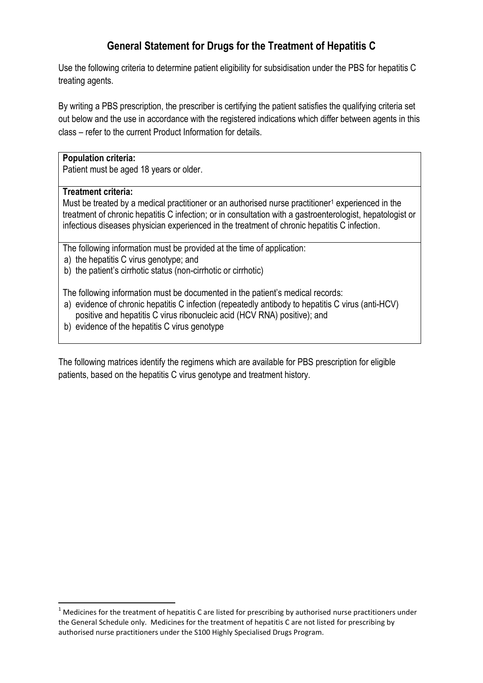# **General Statement for Drugs for the Treatment of Hepatitis C**

Use the following criteria to determine patient eligibility for subsidisation under the PBS for hepatitis C treating agents.

By writing a PBS prescription, the prescriber is certifying the patient satisfies the qualifying criteria set out below and the use in accordance with the registered indications which differ between agents in this class – refer to the current Product Information for details.

### **Population criteria:**

Patient must be aged 18 years or older.

### **Treatment criteria:**

 $\overline{a}$ 

Must be treated by a medical practitioner or an authorised nurse practitioner<sup>1</sup> experienced in the treatment of chronic hepatitis C infection; or in consultation with a gastroenterologist, hepatologist or infectious diseases physician experienced in the treatment of chronic hepatitis C infection.

The following information must be provided at the time of application:

- a) the hepatitis C virus genotype; and
- b) the patient's cirrhotic status (non-cirrhotic or cirrhotic)

The following information must be documented in the patient's medical records:

- a) evidence of chronic hepatitis C infection (repeatedly antibody to hepatitis C virus (anti-HCV) positive and hepatitis C virus ribonucleic acid (HCV RNA) positive); and
- b) evidence of the hepatitis C virus genotype

The following matrices identify the regimens which are available for PBS prescription for eligible patients, based on the hepatitis C virus genotype and treatment history.

 $1$  Medicines for the treatment of hepatitis C are listed for prescribing by authorised nurse practitioners under the General Schedule only. Medicines for the treatment of hepatitis C are not listed for prescribing by authorised nurse practitioners under the S100 Highly Specialised Drugs Program.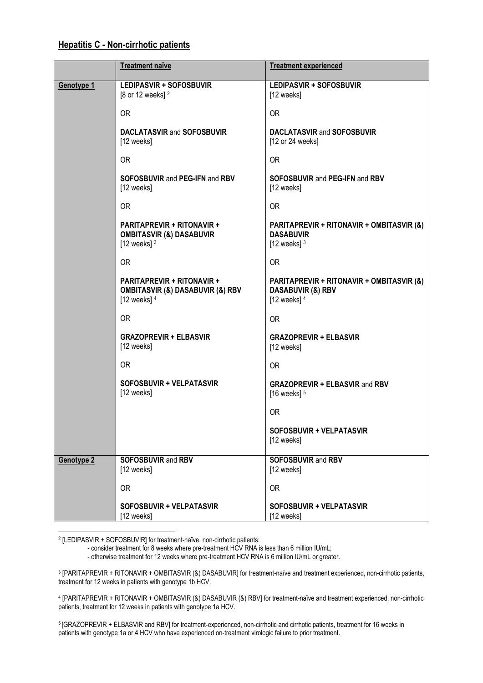#### **Hepatitis C - Non-cirrhotic patients**

|                   | <b>Treatment naïve</b>                                                                                 | <b>Treatment experienced</b>                                                                |
|-------------------|--------------------------------------------------------------------------------------------------------|---------------------------------------------------------------------------------------------|
| Genotype 1        | <b>LEDIPASVIR + SOFOSBUVIR</b><br>[8 or 12 weeks] <sup>2</sup>                                         | <b>LEDIPASVIR + SOFOSBUVIR</b><br>[12 weeks]                                                |
|                   | <b>OR</b>                                                                                              | OR.                                                                                         |
|                   | <b>DACLATASVIR and SOFOSBUVIR</b><br>[12 weeks]                                                        | <b>DACLATASVIR and SOFOSBUVIR</b><br>[12 or 24 weeks]                                       |
|                   | <b>OR</b>                                                                                              | <b>OR</b>                                                                                   |
|                   | <b>SOFOSBUVIR and PEG-IFN and RBV</b><br>[12 weeks]                                                    | <b>SOFOSBUVIR and PEG-IFN and RBV</b><br>[12 weeks]                                         |
|                   | <b>OR</b>                                                                                              | <b>OR</b>                                                                                   |
|                   | <b>PARITAPREVIR + RITONAVIR +</b><br><b>OMBITASVIR (&amp;) DASABUVIR</b><br>[12 weeks] $3$             | PARITAPREVIR + RITONAVIR + OMBITASVIR (&)<br><b>DASABUVIR</b><br>[12 weeks] $3$             |
|                   | <b>OR</b>                                                                                              | <b>OR</b>                                                                                   |
|                   | <b>PARITAPREVIR + RITONAVIR +</b><br><b>OMBITASVIR (&amp;) DASABUVIR (&amp;) RBV</b><br>[12 weeks] $4$ | PARITAPREVIR + RITONAVIR + OMBITASVIR (&)<br><b>DASABUVIR (&amp;) RBV</b><br>[12 weeks] $4$ |
|                   | 0R                                                                                                     | <b>OR</b>                                                                                   |
|                   | <b>GRAZOPREVIR + ELBASVIR</b><br>[12 weeks]                                                            | <b>GRAZOPREVIR + ELBASVIR</b><br>[12 weeks]                                                 |
|                   | 0R                                                                                                     | 0 <sub>R</sub>                                                                              |
|                   | SOFOSBUVIR + VELPATASVIR<br>[12 weeks]                                                                 | <b>GRAZOPREVIR + ELBASVIR and RBV</b><br>[16 weeks] $5$                                     |
|                   |                                                                                                        | 0R                                                                                          |
|                   |                                                                                                        | SOFOSBUVIR + VELPATASVIR<br>[12 weeks]                                                      |
| <b>Genotype 2</b> | <b>SOFOSBUVIR and RBV</b><br>[12 weeks]                                                                | <b>SOFOSBUVIR and RBV</b><br>[12 weeks]                                                     |
|                   | 0R                                                                                                     | <b>OR</b>                                                                                   |
|                   | SOFOSBUVIR + VELPATASVIR<br>[12 weeks]                                                                 | SOFOSBUVIR + VELPATASVIR<br>[12 weeks]                                                      |

 $\overline{a}$ 2 [LEDIPASVIR + SOFOSBUVIR] for treatment-naïve, non-cirrhotic patients:

- consider treatment for 8 weeks where pre-treatment HCV RNA is less than 6 million IU/mL;

- otherwise treatment for 12 weeks where pre-treatment HCV RNA is 6 million IU/mL or greater.

3 [PARITAPREVIR + RITONAVIR + OMBITASVIR (&) DASABUVIR] for treatment-naïve and treatment experienced, non-cirrhotic patients, treatment for 12 weeks in patients with genotype 1b HCV.

4 [PARITAPREVIR + RITONAVIR + OMBITASVIR (&) DASABUVIR (&) RBV] for treatment-naïve and treatment experienced, non-cirrhotic patients, treatment for 12 weeks in patients with genotype 1a HCV.

5 [GRAZOPREVIR + ELBASVIR and RBV] for treatment-experienced, non-cirrhotic and cirrhotic patients, treatment for 16 weeks in patients with genotype 1a or 4 HCV who have experienced on-treatment virologic failure to prior treatment.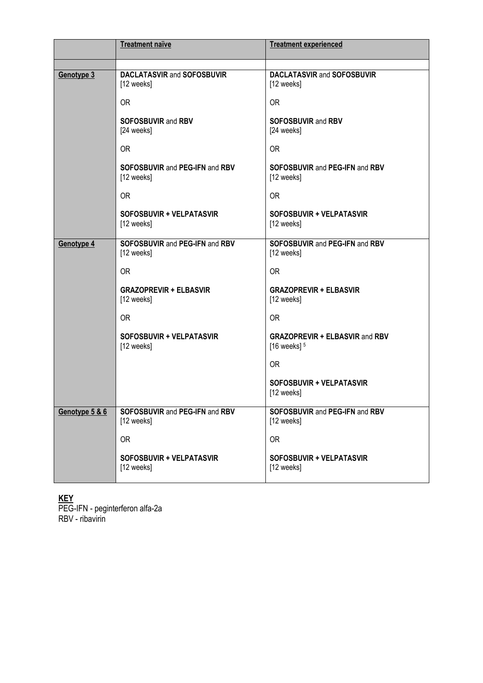|                | <b>Treatment naïve</b>                          | <b>Treatment experienced</b>                            |
|----------------|-------------------------------------------------|---------------------------------------------------------|
|                |                                                 |                                                         |
| Genotype 3     | <b>DACLATASVIR and SOFOSBUVIR</b><br>[12 weeks] | <b>DACLATASVIR and SOFOSBUVIR</b><br>[12 weeks]         |
|                | <b>OR</b>                                       | <b>OR</b>                                               |
|                | <b>SOFOSBUVIR and RBV</b><br>[24 weeks]         | <b>SOFOSBUVIR and RBV</b><br>[24 weeks]                 |
|                | <b>OR</b>                                       | <b>OR</b>                                               |
|                | SOFOSBUVIR and PEG-IFN and RBV<br>[12 weeks]    | <b>SOFOSBUVIR and PEG-IFN and RBV</b><br>[12 weeks]     |
|                | <b>OR</b>                                       | <b>OR</b>                                               |
|                | <b>SOFOSBUVIR + VELPATASVIR</b><br>[12 weeks]   | <b>SOFOSBUVIR + VELPATASVIR</b><br>[12 weeks]           |
| Genotype 4     | SOFOSBUVIR and PEG-IFN and RBV<br>[12 weeks]    | <b>SOFOSBUVIR and PEG-IFN and RBV</b><br>[12 weeks]     |
|                | 0R                                              | <b>OR</b>                                               |
|                | <b>GRAZOPREVIR + ELBASVIR</b><br>[12 weeks]     | <b>GRAZOPREVIR + ELBASVIR</b><br>[12 weeks]             |
|                | <b>OR</b>                                       | <b>OR</b>                                               |
|                | <b>SOFOSBUVIR + VELPATASVIR</b><br>[12 weeks]   | <b>GRAZOPREVIR + ELBASVIR and RBV</b><br>[16 weeks] $5$ |
|                |                                                 | <b>OR</b>                                               |
|                |                                                 | <b>SOFOSBUVIR + VELPATASVIR</b><br>[12 weeks]           |
| Genotype 5 & 6 | SOFOSBUVIR and PEG-IFN and RBV<br>[12 weeks]    | SOFOSBUVIR and PEG-IFN and RBV<br>[12 weeks]            |
|                | <b>OR</b>                                       | <b>OR</b>                                               |
|                | SOFOSBUVIR + VELPATASVIR<br>[12 weeks]          | SOFOSBUVIR + VELPATASVIR<br>[12 weeks]                  |

## **KEY**

PEG-IFN - peginterferon alfa-2a RBV - ribavirin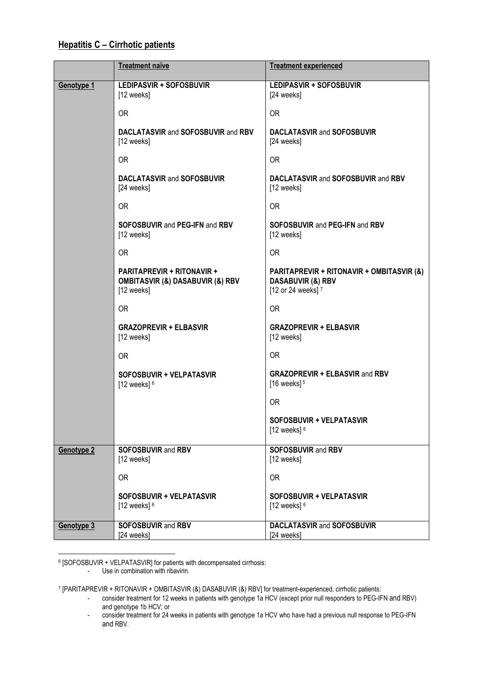#### **Treatment naïve Treatment experienced Genotype 1 LEDIPASVIR + SOFOSBUVIR** [12 weeks] OR **DACLATASVIR** and **SOFOSBUVIR** and **RBV** [12 weeks] OR **DACLATASVIR** and **SOFOSBUVIR** [24 weeks] OR **SOFOSBUVIR** and **PEG-IFN** and **RBV** [12 weeks] OR **PARITAPREVIR + RITONAVIR + OMBITASVIR (&) DASABUVIR (&) RBV** [12 weeks] OR **GRAZOPREVIR + ELBASVIR** [12 weeks] OR **SOFOSBUVIR + VELPATASVIR** [12 weeks]  $6$ **LEDIPASVIR + SOFOSBUVIR** [24 weeks] OR **DACLATASVIR** and **SOFOSBUVIR** [24 weeks] OR **DACLATASVIR** and **SOFOSBUVIR** and **RBV** [12 weeks] OR **SOFOSBUVIR** and **PEG-IFN** and **RBV** [12 weeks] OR **PARITAPREVIR + RITONAVIR + OMBITASVIR (&) DASABUVIR (&) RBV** [12 or 24 weeks] $7$ OR **GRAZOPREVIR + ELBASVIR** [12 weeks] OR **GRAZOPREVIR + ELBASVIR** and **RBV**  $[16$  weeks $]$ <sup>5</sup> OR **SOFOSBUVIR + VELPATASVIR** [12 weeks] $6$ **Genotype 2 SOFOSBUVIR** and **RBV** [12 weeks] OR **SOFOSBUVIR + VELPATASVIR**  $[12$  weeks]  $6$ **SOFOSBUVIR** and **RBV** [12 weeks] OR **SOFOSBUVIR + VELPATASVIR**  $[12$  weeks]  $6$ **Genotype 3 SOFOSBUVIR** and **RBV** [24 weeks] **DACLATASVIR** and **SOFOSBUVIR** [24 weeks]

#### **Hepatitis C – Cirrhotic patients**

**.** <sup>6</sup> [SOFOSBUVIR + VELPATASVIR] for patients with decompensated cirrhosis:

Use in combination with ribavirin.

7 [PARITAPREVIR + RITONAVIR + OMBITASVIR (&) DASABUVIR (&) RBV] for treatment-experienced, cirrhotic patients:

- consider treatment for 12 weeks in patients with genotype 1a HCV (except prior null responders to PEG-IFN and RBV) and genotype 1b HCV; or
- consider treatment for 24 weeks in patients with genotype 1a HCV who have had a previous null response to PEG-IFN and RBV.